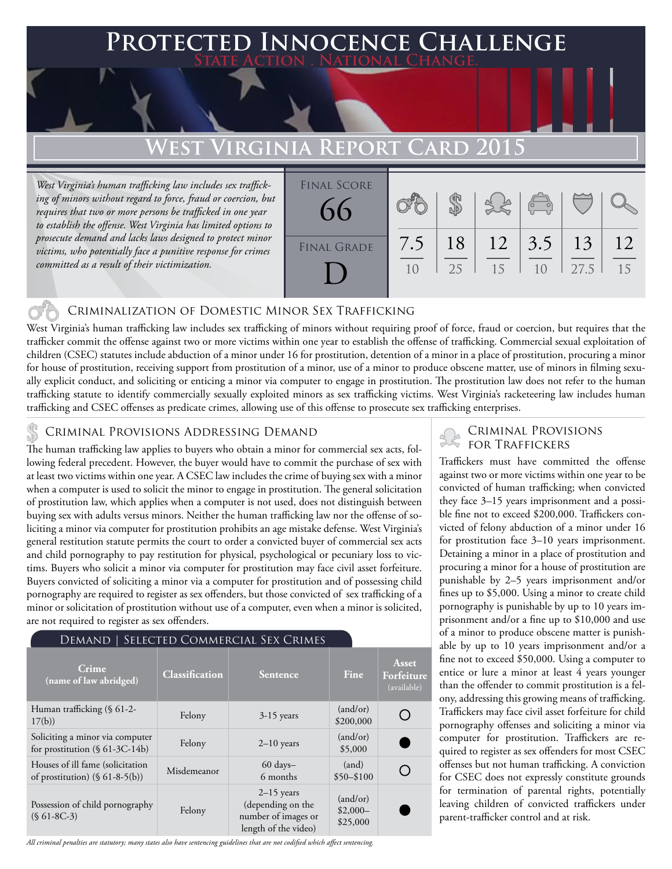### **FED INNOCENCE CHALLENGE State Action . National Change.**

### **EST VIRGINIA REPORT CARD**

*West Virginia's human trafficking law includes sex trafficking of minors without regard to force, fraud or coercion, but requires that two or more persons be trafficked in one year to establish the offense. West Virginia has limited options to prosecute demand and lacks laws designed to protect minor victims, who potentially face a punitive response for crimes committed as a result of their victimization.*

| <b>FINAL SCORE</b><br>66 |     |    |    | $\sqrt{2}$     |      |    |
|--------------------------|-----|----|----|----------------|------|----|
| <b>FINAL GRADE</b>       | 7.5 | 18 | 12 | 3.5            | 13   | 12 |
|                          | 10  | 25 | 15 | 1 <sub>0</sub> | 27.5 | 15 |

### Criminalization of Domestic Minor Sex Trafficking

West Virginia's human trafficking law includes sex trafficking of minors without requiring proof of force, fraud or coercion, but requires that the trafficker commit the offense against two or more victims within one year to establish the offense of trafficking. Commercial sexual exploitation of children (CSEC) statutes include abduction of a minor under 16 for prostitution, detention of a minor in a place of prostitution, procuring a minor for house of prostitution, receiving support from prostitution of a minor, use of a minor to produce obscene matter, use of minors in filming sexually explicit conduct, and soliciting or enticing a minor via computer to engage in prostitution. The prostitution law does not refer to the human trafficking statute to identify commercially sexually exploited minors as sex trafficking victims. West Virginia's racketeering law includes human trafficking and CSEC offenses as predicate crimes, allowing use of this offense to prosecute sex trafficking enterprises.

The human trafficking law applies to buyers who obtain a minor for commercial sex acts, following federal precedent. However, the buyer would have to commit the purchase of sex with at least two victims within one year. A CSEC law includes the crime of buying sex with a minor when a computer is used to solicit the minor to engage in prostitution. The general solicitation of prostitution law, which applies when a computer is not used, does not distinguish between buying sex with adults versus minors. Neither the human trafficking law nor the offense of soliciting a minor via computer for prostitution prohibits an age mistake defense. West Virginia's general restitution statute permits the court to order a convicted buyer of commercial sex acts and child pornography to pay restitution for physical, psychological or pecuniary loss to victims. Buyers who solicit a minor via computer for prostitution may face civil asset forfeiture. Buyers convicted of soliciting a minor via a computer for prostitution and of possessing child pornography are required to register as sex offenders, but those convicted of sex trafficking of a minor or solicitation of prostitution without use of a computer, even when a minor is solicited, are not required to register as sex offenders.

#### Demand | Selected Commercial Sex Crimes

| Crime<br>(name of law abridged)                                       | Classification | <b>Sentence</b>                                                                  | Fine                              | Asset<br>Forfeiture<br>(available) |
|-----------------------------------------------------------------------|----------------|----------------------------------------------------------------------------------|-----------------------------------|------------------------------------|
| Human trafficking (§ 61-2-<br>17(b)                                   | Felony         | $3-15$ years                                                                     | (and/or)<br>\$200,000             |                                    |
| Soliciting a minor via computer<br>for prostitution $(\S 61-3C-14b)$  | Felony         | $2-10$ years                                                                     | (and/or)<br>\$5,000               |                                    |
| Houses of ill fame (solicitation<br>of prostitution) $(\S 61-8-5(b))$ | Misdemeanor    | $60 \text{ days} -$<br>6 months                                                  | (and)<br>$$50 - $100$             |                                    |
| Possession of child pornography<br>$(S61-8C-3)$                       | Felony         | $2-15$ years<br>(depending on the<br>number of images or<br>length of the video) | (and/or)<br>$$2,000-$<br>\$25,000 |                                    |

*All criminal penalties are statutory; many states also have sentencing guidelines that are not codified which affect sentencing.* 

# CRIMINAL PROVISIONS ADDRESSING DEMAND<br>The human trafficking law applies to huvers who obtain a minor for commercial sex acts folls FOR TRAFFICKERS

Traffickers must have committed the offense against two or more victims within one year to be convicted of human trafficking; when convicted they face 3–15 years imprisonment and a possible fine not to exceed \$200,000. Traffickers convicted of felony abduction of a minor under 16 for prostitution face 3–10 years imprisonment. Detaining a minor in a place of prostitution and procuring a minor for a house of prostitution are punishable by 2–5 years imprisonment and/or fines up to \$5,000. Using a minor to create child pornography is punishable by up to 10 years imprisonment and/or a fine up to \$10,000 and use of a minor to produce obscene matter is punishable by up to 10 years imprisonment and/or a fine not to exceed \$50,000. Using a computer to entice or lure a minor at least 4 years younger than the offender to commit prostitution is a felony, addressing this growing means of trafficking. Traffickers may face civil asset forfeiture for child pornography offenses and soliciting a minor via computer for prostitution. Traffickers are required to register as sex offenders for most CSEC offenses but not human trafficking. A conviction for CSEC does not expressly constitute grounds for termination of parental rights, potentially leaving children of convicted traffickers under parent-trafficker control and at risk.